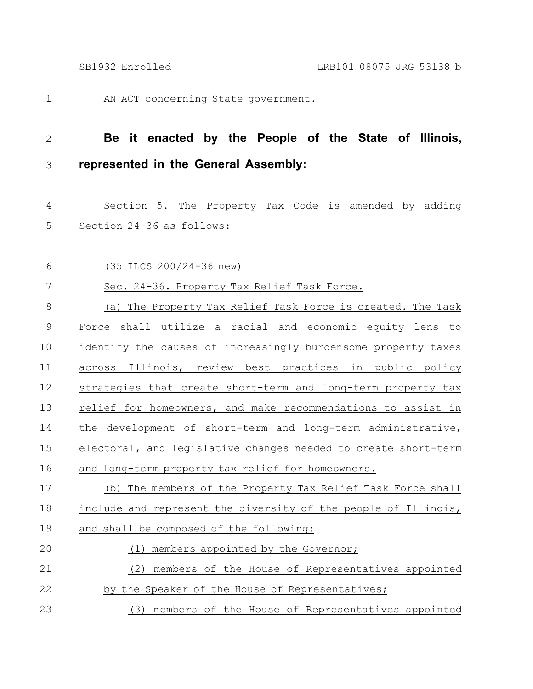AN ACT concerning State government. 1

## 2

3

## **Be it enacted by the People of the State of Illinois, represented in the General Assembly:**

Section 5. The Property Tax Code is amended by adding Section 24-36 as follows: 4 5

(35 ILCS 200/24-36 new) Sec. 24-36. Property Tax Relief Task Force. (a) The Property Tax Relief Task Force is created. The Task Force shall utilize a racial and economic equity lens to identify the causes of increasingly burdensome property taxes across Illinois, review best practices in public policy strategies that create short-term and long-term property tax relief for homeowners, and make recommendations to assist in the development of short-term and long-term administrative, electoral, and legislative changes needed to create short-term and long-term property tax relief for homeowners. (b) The members of the Property Tax Relief Task Force shall include and represent the diversity of the people of Illinois, and shall be composed of the following: (1) members appointed by the Governor; (2) members of the House of Representatives appointed by the Speaker of the House of Representatives; 6 7 8 9 10 11 12 13 14 15 16 17 18 19 20 21 22

(3) members of the House of Representatives appointed 23